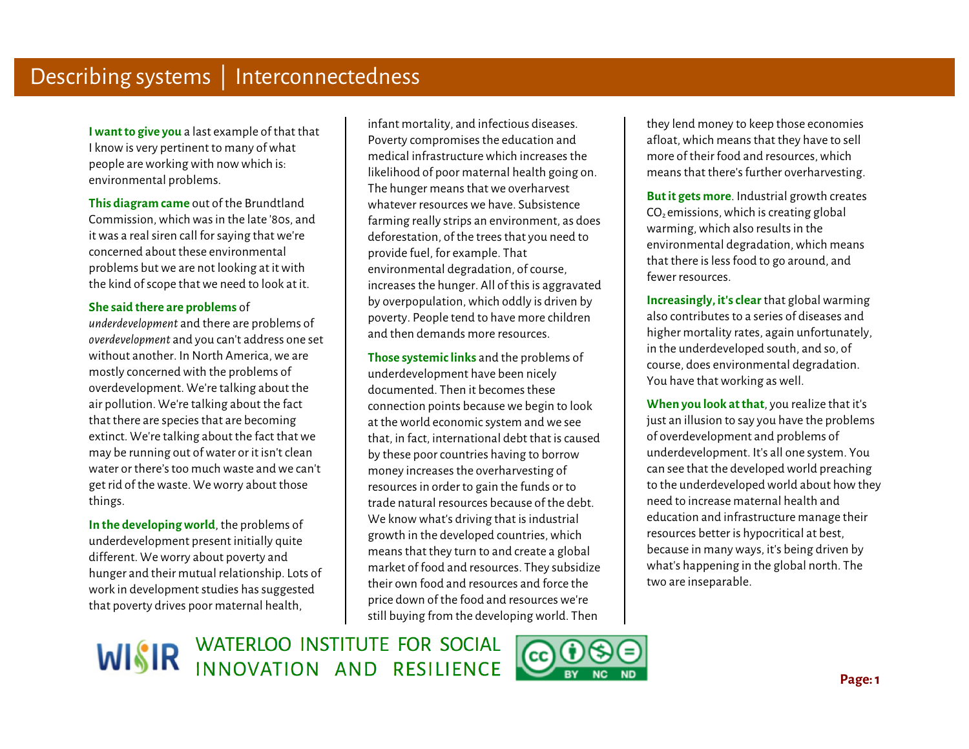**I want to give you** a last example of that that I know is very pertinent to many of what people are working with now which is: environmental problems.

**This diagram came** out of the Brundtland Commission, which was in the late '80s, and it was a real siren call for saying that we're concerned about these environmental problems but we are not looking at it with the kind of scope that we need to look at it.

## **She said there are problems** of

J *underdevelopment* and there are problems of *overdevelopment* and you can't address one set without another. In North America, we are mostly concerned with the problems of overdevelopment. We're talking about the air pollution. We're talking about the fact that there are species that are becoming extinct. We're talking about the fact that we may be running out of water or it isn't clean water or there's too much waste and we can't get rid of the waste. We worry about those things.

 **In the developing world**, the problems of underdevelopment present initially quite different. We worry about poverty and hunger and their mutual relationship. Lots of work in development studies has suggested that poverty drives poor maternal health,

 $\ddot{\phantom{a}}$ infant mortality, and infectious diseases. Poverty compromises the education and medical infrastructure which increases the likelihood of poor maternal health going on. The hunger means that we overharvest whatever resources we have. Subsistence farming really strips an environment, as does deforestation, of the trees that you need to provide fuel, for example. That environmental degradation, of course, increases the hunger. All of this is aggravated by overpopulation, which oddly is driven by poverty. People tend to have more children and then demands more resources.

i. **Those systemic links** and the problems of underdevelopment have been nicely documented. Then it becomes these connection points because we begin to look at the world economic system and we see that, in fact, international debt that is caused by these poor countries having to borrow money increases the overharvesting of resources in order to gain the funds or to trade natural resources because of the debt. We know what's driving that is industrial growth in the developed countries, which means that they turn to and create a global market of food and resources. They subsidize their own food and resources and force the price down of the food and resources we're still buying from the developing world. Then

they lend money to keep those economies afloat, which means that they have to sell more of their food and resources, which means that there's further overharvesting.

**But it gets more**. Industrial growth creates  $CO<sub>2</sub>$  emissions, which is creating global warming, which also results in the environmental degradation, which means that there is less food to go around, and fewer resources.

**Increasingly, it's clear** that global warming also contributes to a series of diseases and higher mortality rates, again unfortunately, in the underdeveloped south, and so, of course, does environmental degradation. You have that working as well.

 **When you look at that**, you realize that it's just an illusion to say you have the problems of overdevelopment and problems of underdevelopment. It's all one system. You can see that the developed world preaching to the underdeveloped world about how they need to increase maternal health and education and infrastructure manage their resources better is hypocritical at best, because in many ways, it's being driven by what's happening in the global north. The two are inseparable.

WISIR WATERLOO INSTITUTE FOR SOCIAL